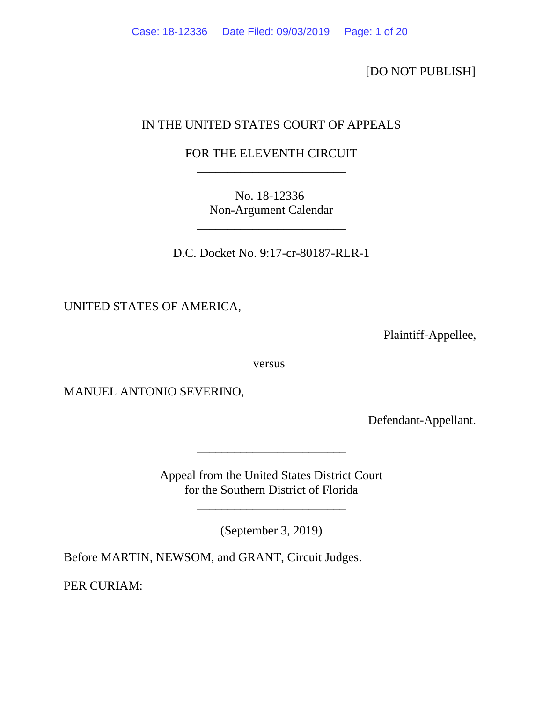[DO NOT PUBLISH]

# IN THE UNITED STATES COURT OF APPEALS

## FOR THE ELEVENTH CIRCUIT \_\_\_\_\_\_\_\_\_\_\_\_\_\_\_\_\_\_\_\_\_\_\_\_

No. 18-12336 Non-Argument Calendar

\_\_\_\_\_\_\_\_\_\_\_\_\_\_\_\_\_\_\_\_\_\_\_\_

D.C. Docket No. 9:17-cr-80187-RLR-1

UNITED STATES OF AMERICA,

Plaintiff-Appellee,

versus

MANUEL ANTONIO SEVERINO,

Defendant-Appellant.

Appeal from the United States District Court for the Southern District of Florida

\_\_\_\_\_\_\_\_\_\_\_\_\_\_\_\_\_\_\_\_\_\_\_\_

(September 3, 2019)

\_\_\_\_\_\_\_\_\_\_\_\_\_\_\_\_\_\_\_\_\_\_\_\_

Before MARTIN, NEWSOM, and GRANT, Circuit Judges.

PER CURIAM: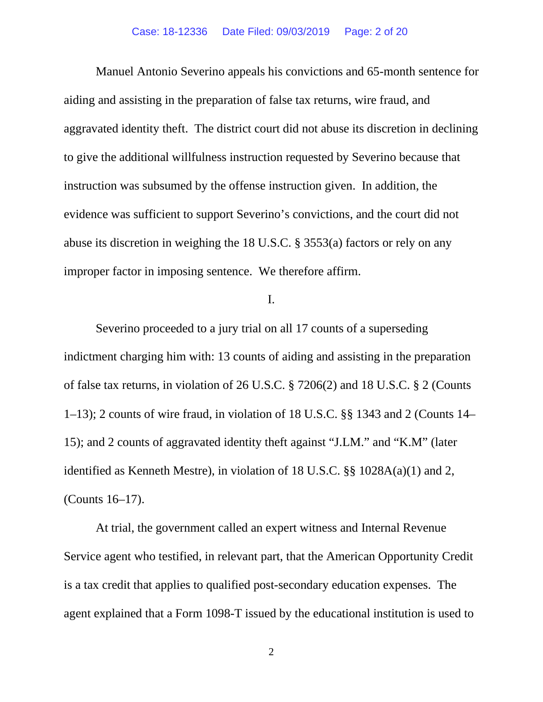Manuel Antonio Severino appeals his convictions and 65-month sentence for aiding and assisting in the preparation of false tax returns, wire fraud, and aggravated identity theft. The district court did not abuse its discretion in declining to give the additional willfulness instruction requested by Severino because that instruction was subsumed by the offense instruction given. In addition, the evidence was sufficient to support Severino's convictions, and the court did not abuse its discretion in weighing the 18 U.S.C. § 3553(a) factors or rely on any improper factor in imposing sentence. We therefore affirm.

## I.

Severino proceeded to a jury trial on all 17 counts of a superseding indictment charging him with: 13 counts of aiding and assisting in the preparation of false tax returns, in violation of 26 U.S.C. § 7206(2) and 18 U.S.C. § 2 (Counts 1–13); 2 counts of wire fraud, in violation of 18 U.S.C. §§ 1343 and 2 (Counts 14– 15); and 2 counts of aggravated identity theft against "J.LM." and "K.M" (later identified as Kenneth Mestre), in violation of 18 U.S.C. §§ 1028A(a)(1) and 2, (Counts 16–17).

At trial, the government called an expert witness and Internal Revenue Service agent who testified, in relevant part, that the American Opportunity Credit is a tax credit that applies to qualified post-secondary education expenses. The agent explained that a Form 1098-T issued by the educational institution is used to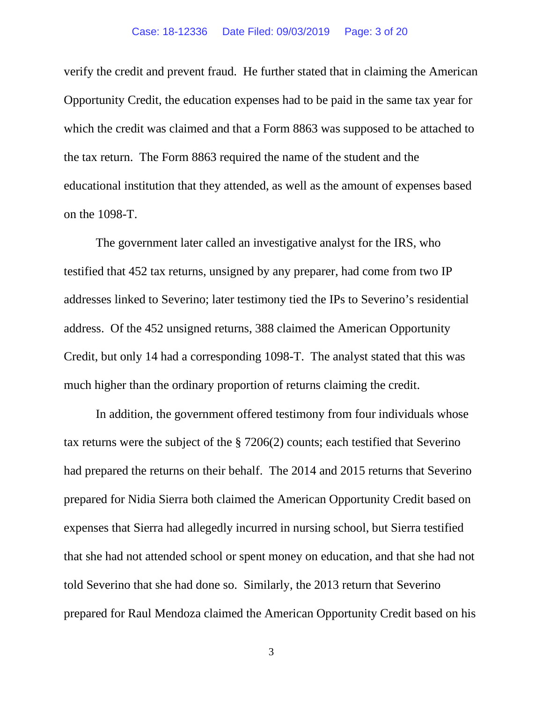#### Case: 18-12336 Date Filed: 09/03/2019 Page: 3 of 20

verify the credit and prevent fraud. He further stated that in claiming the American Opportunity Credit, the education expenses had to be paid in the same tax year for which the credit was claimed and that a Form 8863 was supposed to be attached to the tax return. The Form 8863 required the name of the student and the educational institution that they attended, as well as the amount of expenses based on the 1098-T.

The government later called an investigative analyst for the IRS, who testified that 452 tax returns, unsigned by any preparer, had come from two IP addresses linked to Severino; later testimony tied the IPs to Severino's residential address. Of the 452 unsigned returns, 388 claimed the American Opportunity Credit, but only 14 had a corresponding 1098-T. The analyst stated that this was much higher than the ordinary proportion of returns claiming the credit.

In addition, the government offered testimony from four individuals whose tax returns were the subject of the § 7206(2) counts; each testified that Severino had prepared the returns on their behalf. The 2014 and 2015 returns that Severino prepared for Nidia Sierra both claimed the American Opportunity Credit based on expenses that Sierra had allegedly incurred in nursing school, but Sierra testified that she had not attended school or spent money on education, and that she had not told Severino that she had done so. Similarly, the 2013 return that Severino prepared for Raul Mendoza claimed the American Opportunity Credit based on his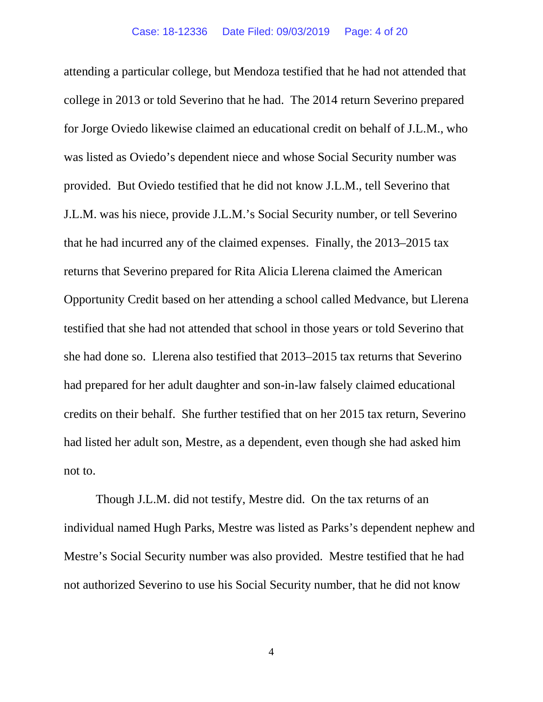attending a particular college, but Mendoza testified that he had not attended that college in 2013 or told Severino that he had. The 2014 return Severino prepared for Jorge Oviedo likewise claimed an educational credit on behalf of J.L.M., who was listed as Oviedo's dependent niece and whose Social Security number was provided. But Oviedo testified that he did not know J.L.M., tell Severino that J.L.M. was his niece, provide J.L.M.'s Social Security number, or tell Severino that he had incurred any of the claimed expenses. Finally, the 2013–2015 tax returns that Severino prepared for Rita Alicia Llerena claimed the American Opportunity Credit based on her attending a school called Medvance, but Llerena testified that she had not attended that school in those years or told Severino that she had done so. Llerena also testified that 2013–2015 tax returns that Severino had prepared for her adult daughter and son-in-law falsely claimed educational credits on their behalf. She further testified that on her 2015 tax return, Severino had listed her adult son, Mestre, as a dependent, even though she had asked him not to.

Though J.L.M. did not testify, Mestre did. On the tax returns of an individual named Hugh Parks, Mestre was listed as Parks's dependent nephew and Mestre's Social Security number was also provided. Mestre testified that he had not authorized Severino to use his Social Security number, that he did not know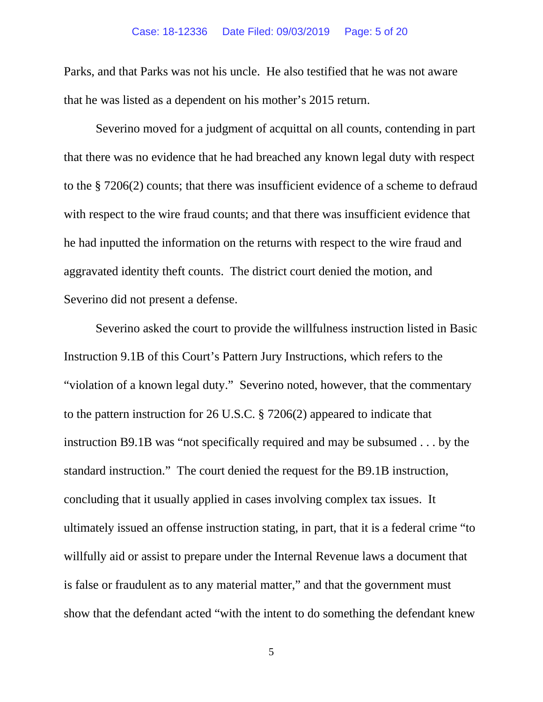#### Case: 18-12336 Date Filed: 09/03/2019 Page: 5 of 20

Parks, and that Parks was not his uncle. He also testified that he was not aware that he was listed as a dependent on his mother's 2015 return.

Severino moved for a judgment of acquittal on all counts, contending in part that there was no evidence that he had breached any known legal duty with respect to the § 7206(2) counts; that there was insufficient evidence of a scheme to defraud with respect to the wire fraud counts; and that there was insufficient evidence that he had inputted the information on the returns with respect to the wire fraud and aggravated identity theft counts. The district court denied the motion, and Severino did not present a defense.

Severino asked the court to provide the willfulness instruction listed in Basic Instruction 9.1B of this Court's Pattern Jury Instructions, which refers to the "violation of a known legal duty." Severino noted, however, that the commentary to the pattern instruction for 26 U.S.C. § 7206(2) appeared to indicate that instruction B9.1B was "not specifically required and may be subsumed . . . by the standard instruction." The court denied the request for the B9.1B instruction, concluding that it usually applied in cases involving complex tax issues. It ultimately issued an offense instruction stating, in part, that it is a federal crime "to willfully aid or assist to prepare under the Internal Revenue laws a document that is false or fraudulent as to any material matter," and that the government must show that the defendant acted "with the intent to do something the defendant knew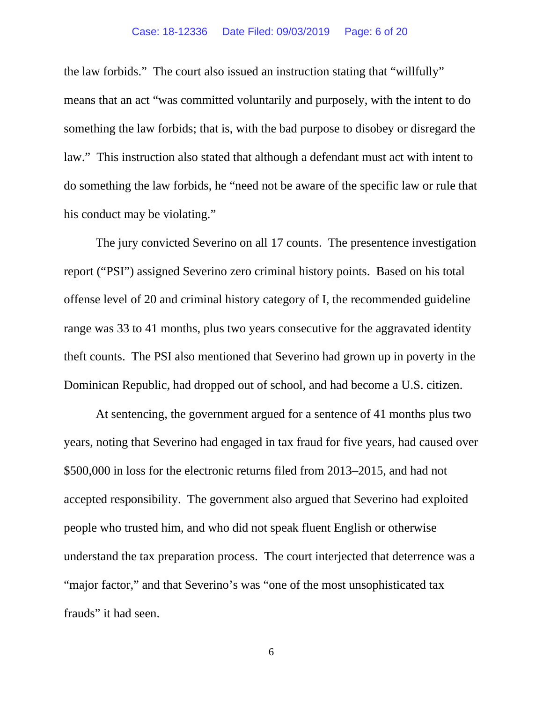the law forbids." The court also issued an instruction stating that "willfully" means that an act "was committed voluntarily and purposely, with the intent to do something the law forbids; that is, with the bad purpose to disobey or disregard the law." This instruction also stated that although a defendant must act with intent to do something the law forbids, he "need not be aware of the specific law or rule that his conduct may be violating."

The jury convicted Severino on all 17 counts. The presentence investigation report ("PSI") assigned Severino zero criminal history points. Based on his total offense level of 20 and criminal history category of I, the recommended guideline range was 33 to 41 months, plus two years consecutive for the aggravated identity theft counts. The PSI also mentioned that Severino had grown up in poverty in the Dominican Republic, had dropped out of school, and had become a U.S. citizen.

At sentencing, the government argued for a sentence of 41 months plus two years, noting that Severino had engaged in tax fraud for five years, had caused over \$500,000 in loss for the electronic returns filed from 2013–2015, and had not accepted responsibility. The government also argued that Severino had exploited people who trusted him, and who did not speak fluent English or otherwise understand the tax preparation process. The court interjected that deterrence was a "major factor," and that Severino's was "one of the most unsophisticated tax frauds" it had seen.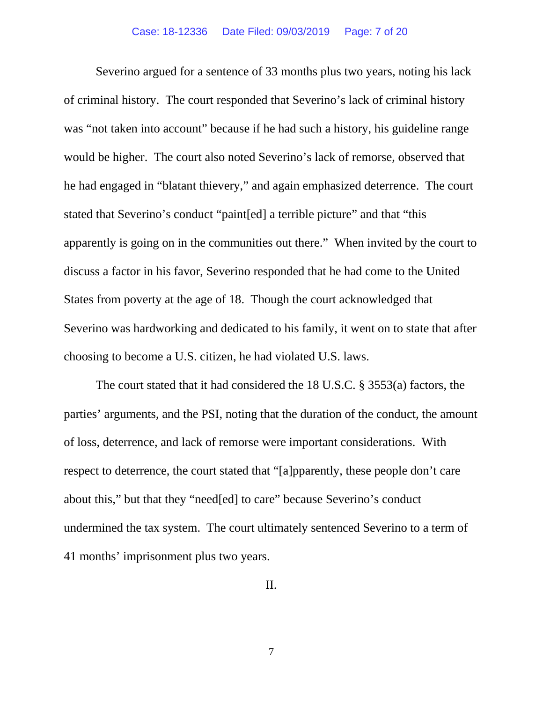Severino argued for a sentence of 33 months plus two years, noting his lack of criminal history. The court responded that Severino's lack of criminal history was "not taken into account" because if he had such a history, his guideline range would be higher. The court also noted Severino's lack of remorse, observed that he had engaged in "blatant thievery," and again emphasized deterrence. The court stated that Severino's conduct "paint[ed] a terrible picture" and that "this apparently is going on in the communities out there." When invited by the court to discuss a factor in his favor, Severino responded that he had come to the United States from poverty at the age of 18. Though the court acknowledged that Severino was hardworking and dedicated to his family, it went on to state that after choosing to become a U.S. citizen, he had violated U.S. laws.

The court stated that it had considered the 18 U.S.C. § 3553(a) factors, the parties' arguments, and the PSI, noting that the duration of the conduct, the amount of loss, deterrence, and lack of remorse were important considerations. With respect to deterrence, the court stated that "[a]pparently, these people don't care about this," but that they "need[ed] to care" because Severino's conduct undermined the tax system. The court ultimately sentenced Severino to a term of 41 months' imprisonment plus two years.

II.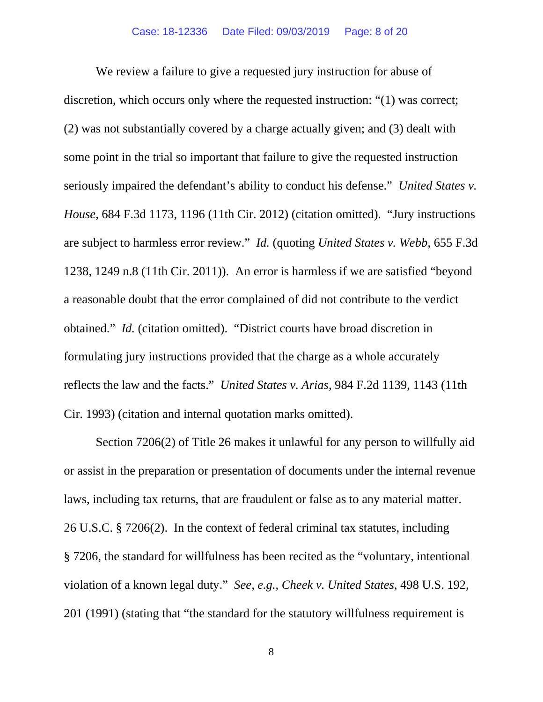We review a failure to give a requested jury instruction for abuse of discretion, which occurs only where the requested instruction: "(1) was correct; (2) was not substantially covered by a charge actually given; and (3) dealt with some point in the trial so important that failure to give the requested instruction seriously impaired the defendant's ability to conduct his defense." *United States v. House*, 684 F.3d 1173, 1196 (11th Cir. 2012) (citation omitted). "Jury instructions are subject to harmless error review." *Id.* (quoting *United States v. Webb*, 655 F.3d 1238, 1249 n.8 (11th Cir. 2011)). An error is harmless if we are satisfied "beyond a reasonable doubt that the error complained of did not contribute to the verdict obtained." *Id.* (citation omitted). "District courts have broad discretion in formulating jury instructions provided that the charge as a whole accurately reflects the law and the facts." *United States v. Arias*, 984 F.2d 1139, 1143 (11th Cir. 1993) (citation and internal quotation marks omitted).

Section 7206(2) of Title 26 makes it unlawful for any person to willfully aid or assist in the preparation or presentation of documents under the internal revenue laws, including tax returns, that are fraudulent or false as to any material matter. 26 U.S.C. § 7206(2). In the context of federal criminal tax statutes, including § 7206, the standard for willfulness has been recited as the "voluntary, intentional violation of a known legal duty." *See, e.g.*, *Cheek v. United States*, 498 U.S. 192, 201 (1991) (stating that "the standard for the statutory willfulness requirement is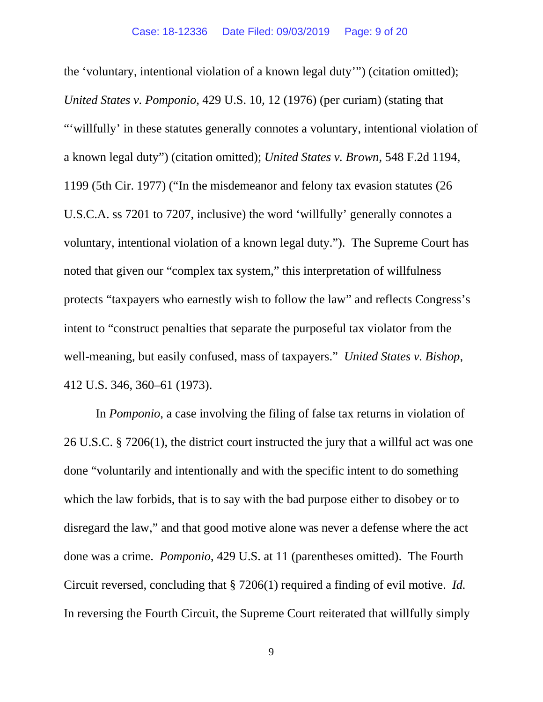the 'voluntary, intentional violation of a known legal duty'") (citation omitted); *United States v. Pomponio*, 429 U.S. 10, 12 (1976) (per curiam) (stating that "'willfully' in these statutes generally connotes a voluntary, intentional violation of a known legal duty") (citation omitted); *United States v. Brown*, 548 F.2d 1194, 1199 (5th Cir. 1977) ("In the misdemeanor and felony tax evasion statutes (26 U.S.C.A. ss 7201 to 7207, inclusive) the word 'willfully' generally connotes a voluntary, intentional violation of a known legal duty."). The Supreme Court has noted that given our "complex tax system," this interpretation of willfulness protects "taxpayers who earnestly wish to follow the law" and reflects Congress's intent to "construct penalties that separate the purposeful tax violator from the well-meaning, but easily confused, mass of taxpayers." *United States v. Bishop*, 412 U.S. 346, 360–61 (1973).

In *Pomponio*, a case involving the filing of false tax returns in violation of 26 U.S.C. § 7206(1), the district court instructed the jury that a willful act was one done "voluntarily and intentionally and with the specific intent to do something which the law forbids, that is to say with the bad purpose either to disobey or to disregard the law," and that good motive alone was never a defense where the act done was a crime. *Pomponio*, 429 U.S. at 11 (parentheses omitted). The Fourth Circuit reversed, concluding that § 7206(1) required a finding of evil motive. *Id.* In reversing the Fourth Circuit, the Supreme Court reiterated that willfully simply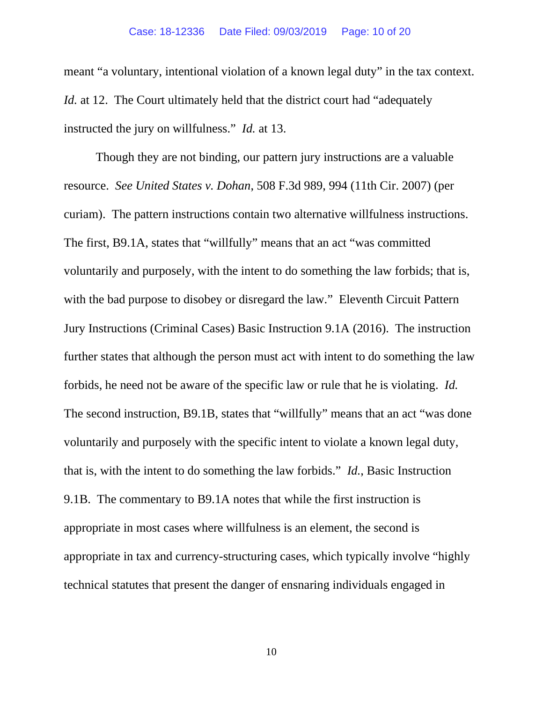meant "a voluntary, intentional violation of a known legal duty" in the tax context. *Id.* at 12. The Court ultimately held that the district court had "adequately instructed the jury on willfulness." *Id.* at 13.

Though they are not binding, our pattern jury instructions are a valuable resource. *See United States v. Dohan*, 508 F.3d 989, 994 (11th Cir. 2007) (per curiam). The pattern instructions contain two alternative willfulness instructions. The first, B9.1A, states that "willfully" means that an act "was committed voluntarily and purposely, with the intent to do something the law forbids; that is, with the bad purpose to disobey or disregard the law." Eleventh Circuit Pattern Jury Instructions (Criminal Cases) Basic Instruction 9.1A (2016). The instruction further states that although the person must act with intent to do something the law forbids, he need not be aware of the specific law or rule that he is violating. *Id.*  The second instruction, B9.1B, states that "willfully" means that an act "was done voluntarily and purposely with the specific intent to violate a known legal duty, that is, with the intent to do something the law forbids." *Id.*, Basic Instruction 9.1B. The commentary to B9.1A notes that while the first instruction is appropriate in most cases where willfulness is an element, the second is appropriate in tax and currency-structuring cases, which typically involve "highly technical statutes that present the danger of ensnaring individuals engaged in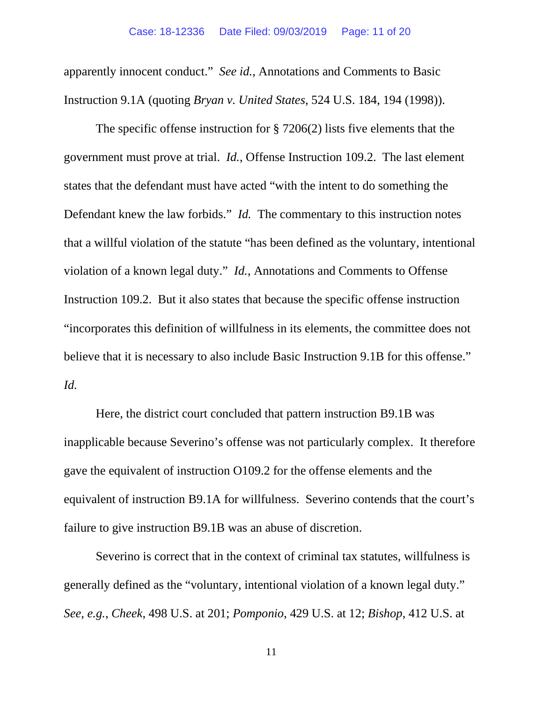apparently innocent conduct." *See id.*, Annotations and Comments to Basic Instruction 9.1A (quoting *Bryan v. United States*, 524 U.S. 184, 194 (1998)).

The specific offense instruction for § 7206(2) lists five elements that the government must prove at trial. *Id.*, Offense Instruction 109.2. The last element states that the defendant must have acted "with the intent to do something the Defendant knew the law forbids." *Id.* The commentary to this instruction notes that a willful violation of the statute "has been defined as the voluntary, intentional violation of a known legal duty." *Id.*, Annotations and Comments to Offense Instruction 109.2. But it also states that because the specific offense instruction "incorporates this definition of willfulness in its elements, the committee does not believe that it is necessary to also include Basic Instruction 9.1B for this offense." *Id.*

Here, the district court concluded that pattern instruction B9.1B was inapplicable because Severino's offense was not particularly complex. It therefore gave the equivalent of instruction O109.2 for the offense elements and the equivalent of instruction B9.1A for willfulness. Severino contends that the court's failure to give instruction B9.1B was an abuse of discretion.

Severino is correct that in the context of criminal tax statutes, willfulness is generally defined as the "voluntary, intentional violation of a known legal duty." *See, e.g.*, *Cheek*, 498 U.S. at 201; *Pomponio*, 429 U.S. at 12; *Bishop*, 412 U.S. at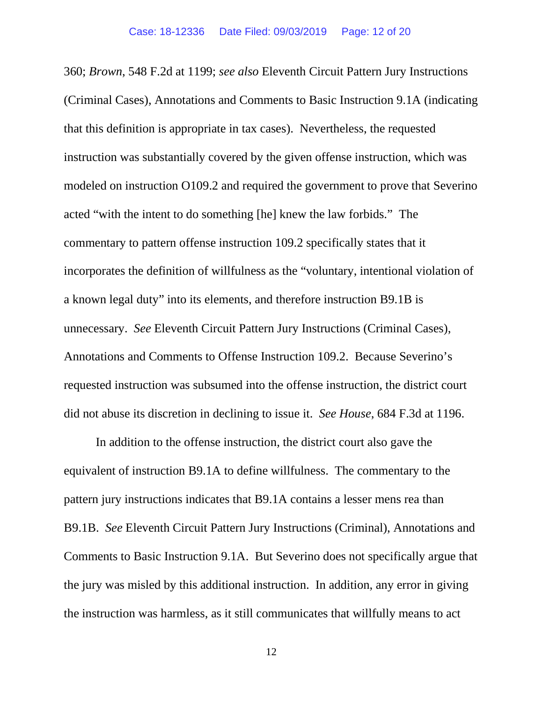360; *Brown*, 548 F.2d at 1199; *see also* Eleventh Circuit Pattern Jury Instructions (Criminal Cases), Annotations and Comments to Basic Instruction 9.1A (indicating that this definition is appropriate in tax cases). Nevertheless, the requested instruction was substantially covered by the given offense instruction, which was modeled on instruction O109.2 and required the government to prove that Severino acted "with the intent to do something [he] knew the law forbids." The commentary to pattern offense instruction 109.2 specifically states that it incorporates the definition of willfulness as the "voluntary, intentional violation of a known legal duty" into its elements, and therefore instruction B9.1B is unnecessary. *See* Eleventh Circuit Pattern Jury Instructions (Criminal Cases), Annotations and Comments to Offense Instruction 109.2. Because Severino's requested instruction was subsumed into the offense instruction, the district court did not abuse its discretion in declining to issue it. *See House*, 684 F.3d at 1196.

In addition to the offense instruction, the district court also gave the equivalent of instruction B9.1A to define willfulness. The commentary to the pattern jury instructions indicates that B9.1A contains a lesser mens rea than B9.1B. *See* Eleventh Circuit Pattern Jury Instructions (Criminal), Annotations and Comments to Basic Instruction 9.1A. But Severino does not specifically argue that the jury was misled by this additional instruction. In addition, any error in giving the instruction was harmless, as it still communicates that willfully means to act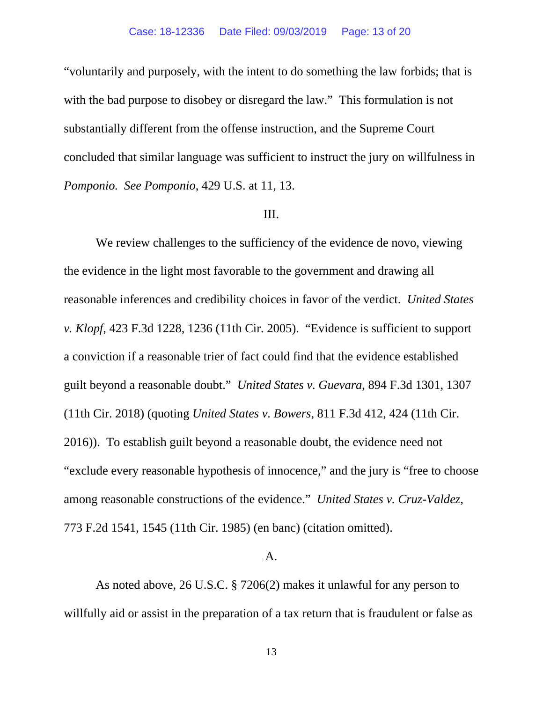"voluntarily and purposely, with the intent to do something the law forbids; that is with the bad purpose to disobey or disregard the law." This formulation is not substantially different from the offense instruction, and the Supreme Court concluded that similar language was sufficient to instruct the jury on willfulness in *Pomponio. See Pomponio*, 429 U.S. at 11, 13.

### III.

We review challenges to the sufficiency of the evidence de novo, viewing the evidence in the light most favorable to the government and drawing all reasonable inferences and credibility choices in favor of the verdict. *United States v. Klopf*, 423 F.3d 1228, 1236 (11th Cir. 2005). "Evidence is sufficient to support a conviction if a reasonable trier of fact could find that the evidence established guilt beyond a reasonable doubt." *United States v. Guevara*, 894 F.3d 1301, 1307 (11th Cir. 2018) (quoting *United States v. Bowers*, 811 F.3d 412, 424 (11th Cir. 2016)). To establish guilt beyond a reasonable doubt, the evidence need not "exclude every reasonable hypothesis of innocence," and the jury is "free to choose among reasonable constructions of the evidence." *United States v. Cruz-Valdez*, 773 F.2d 1541, 1545 (11th Cir. 1985) (en banc) (citation omitted).

### A.

As noted above, 26 U.S.C. § 7206(2) makes it unlawful for any person to willfully aid or assist in the preparation of a tax return that is fraudulent or false as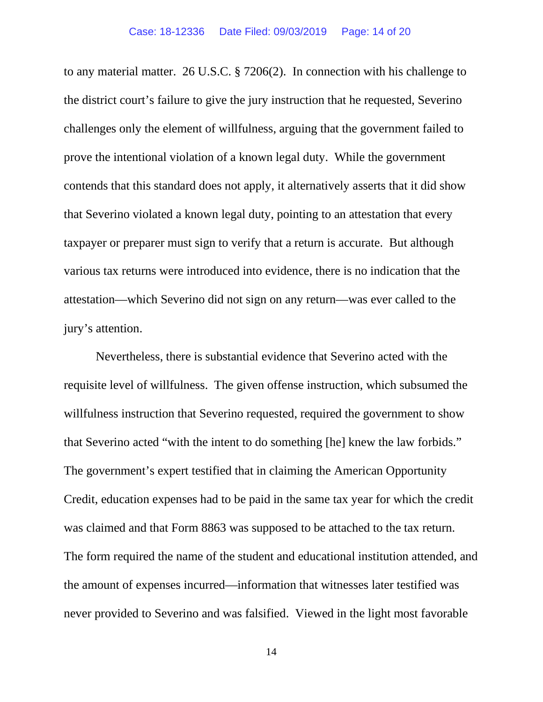to any material matter. 26 U.S.C. § 7206(2). In connection with his challenge to the district court's failure to give the jury instruction that he requested, Severino challenges only the element of willfulness, arguing that the government failed to prove the intentional violation of a known legal duty. While the government contends that this standard does not apply, it alternatively asserts that it did show that Severino violated a known legal duty, pointing to an attestation that every taxpayer or preparer must sign to verify that a return is accurate. But although various tax returns were introduced into evidence, there is no indication that the attestation—which Severino did not sign on any return—was ever called to the jury's attention.

Nevertheless, there is substantial evidence that Severino acted with the requisite level of willfulness. The given offense instruction, which subsumed the willfulness instruction that Severino requested, required the government to show that Severino acted "with the intent to do something [he] knew the law forbids." The government's expert testified that in claiming the American Opportunity Credit, education expenses had to be paid in the same tax year for which the credit was claimed and that Form 8863 was supposed to be attached to the tax return. The form required the name of the student and educational institution attended, and the amount of expenses incurred—information that witnesses later testified was never provided to Severino and was falsified. Viewed in the light most favorable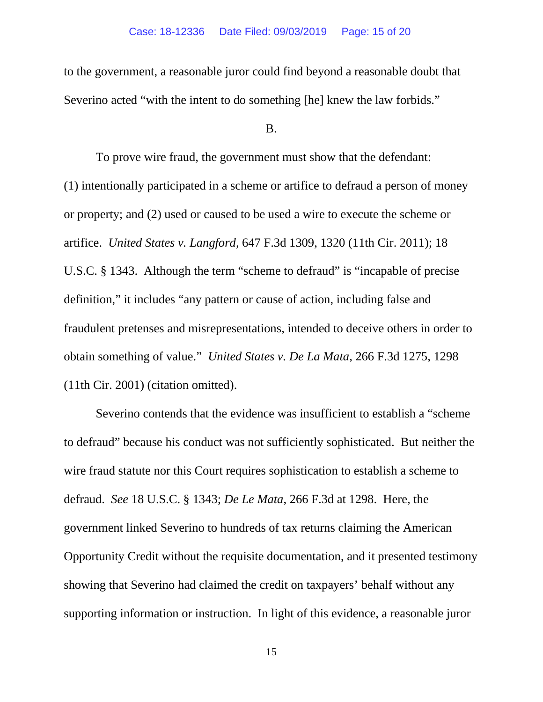to the government, a reasonable juror could find beyond a reasonable doubt that Severino acted "with the intent to do something [he] knew the law forbids."

#### B.

To prove wire fraud, the government must show that the defendant: (1) intentionally participated in a scheme or artifice to defraud a person of money or property; and (2) used or caused to be used a wire to execute the scheme or artifice. *United States v. Langford*, 647 F.3d 1309, 1320 (11th Cir. 2011); 18 U.S.C. § 1343. Although the term "scheme to defraud" is "incapable of precise definition," it includes "any pattern or cause of action, including false and fraudulent pretenses and misrepresentations, intended to deceive others in order to obtain something of value." *United States v. De La Mata*, 266 F.3d 1275, 1298 (11th Cir. 2001) (citation omitted).

Severino contends that the evidence was insufficient to establish a "scheme to defraud" because his conduct was not sufficiently sophisticated. But neither the wire fraud statute nor this Court requires sophistication to establish a scheme to defraud. *See* 18 U.S.C. § 1343; *De Le Mata*, 266 F.3d at 1298. Here, the government linked Severino to hundreds of tax returns claiming the American Opportunity Credit without the requisite documentation, and it presented testimony showing that Severino had claimed the credit on taxpayers' behalf without any supporting information or instruction. In light of this evidence, a reasonable juror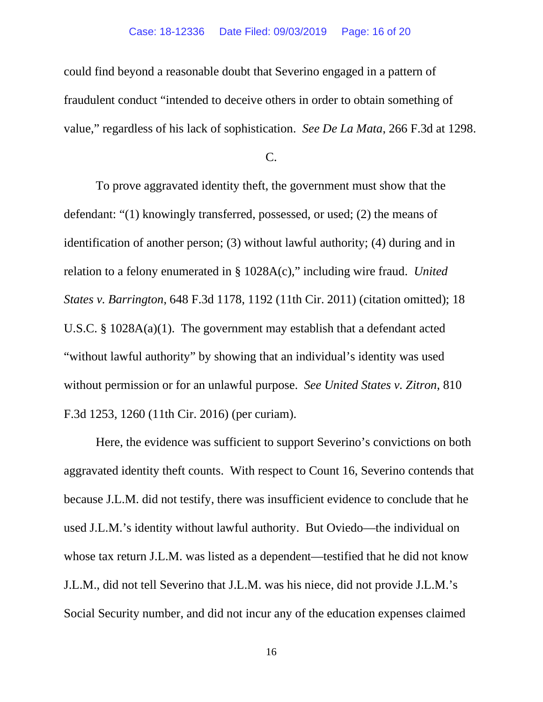could find beyond a reasonable doubt that Severino engaged in a pattern of fraudulent conduct "intended to deceive others in order to obtain something of value," regardless of his lack of sophistication. *See De La Mata*, 266 F.3d at 1298.

C.

To prove aggravated identity theft, the government must show that the defendant: "(1) knowingly transferred, possessed, or used; (2) the means of identification of another person; (3) without lawful authority; (4) during and in relation to a felony enumerated in § 1028A(c)," including wire fraud. *United States v. Barrington*, 648 F.3d 1178, 1192 (11th Cir. 2011) (citation omitted); 18 U.S.C. § 1028A(a)(1). The government may establish that a defendant acted "without lawful authority" by showing that an individual's identity was used without permission or for an unlawful purpose. *See United States v. Zitron*, 810 F.3d 1253, 1260 (11th Cir. 2016) (per curiam).

Here, the evidence was sufficient to support Severino's convictions on both aggravated identity theft counts. With respect to Count 16, Severino contends that because J.L.M. did not testify, there was insufficient evidence to conclude that he used J.L.M.'s identity without lawful authority. But Oviedo—the individual on whose tax return J.L.M. was listed as a dependent—testified that he did not know J.L.M., did not tell Severino that J.L.M. was his niece, did not provide J.L.M.'s Social Security number, and did not incur any of the education expenses claimed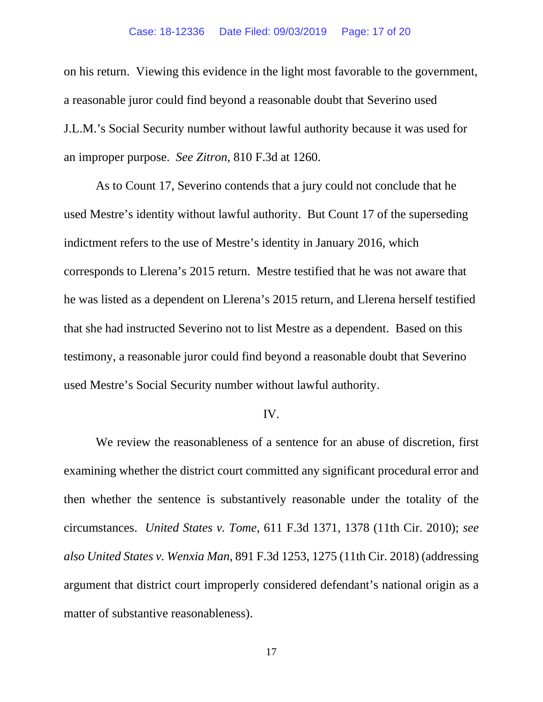on his return. Viewing this evidence in the light most favorable to the government, a reasonable juror could find beyond a reasonable doubt that Severino used J.L.M.'s Social Security number without lawful authority because it was used for an improper purpose. *See Zitron*, 810 F.3d at 1260.

As to Count 17, Severino contends that a jury could not conclude that he used Mestre's identity without lawful authority. But Count 17 of the superseding indictment refers to the use of Mestre's identity in January 2016, which corresponds to Llerena's 2015 return. Mestre testified that he was not aware that he was listed as a dependent on Llerena's 2015 return, and Llerena herself testified that she had instructed Severino not to list Mestre as a dependent. Based on this testimony, a reasonable juror could find beyond a reasonable doubt that Severino used Mestre's Social Security number without lawful authority.

#### IV.

We review the reasonableness of a sentence for an abuse of discretion, first examining whether the district court committed any significant procedural error and then whether the sentence is substantively reasonable under the totality of the circumstances. *United States v. Tome*, 611 F.3d 1371, 1378 (11th Cir. 2010); *see also United States v. Wenxia Man*, 891 F.3d 1253, 1275 (11th Cir. 2018) (addressing argument that district court improperly considered defendant's national origin as a matter of substantive reasonableness).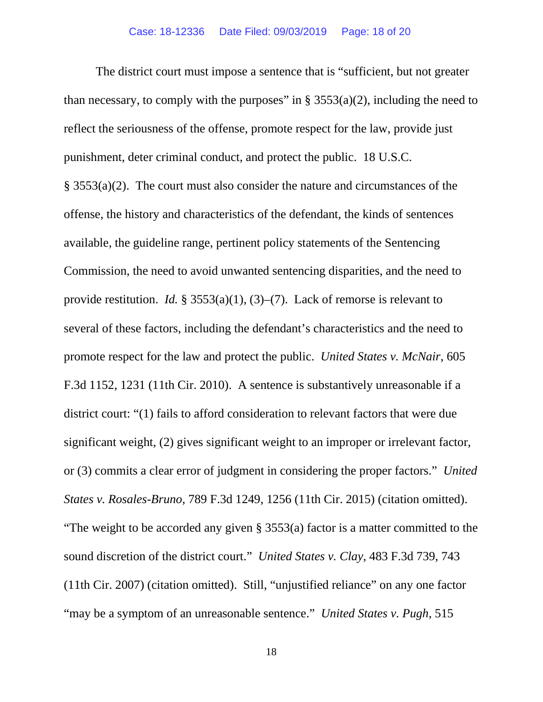The district court must impose a sentence that is "sufficient, but not greater than necessary, to comply with the purposes" in §  $3553(a)(2)$ , including the need to reflect the seriousness of the offense, promote respect for the law, provide just punishment, deter criminal conduct, and protect the public. 18 U.S.C. § 3553(a)(2). The court must also consider the nature and circumstances of the offense, the history and characteristics of the defendant, the kinds of sentences available, the guideline range, pertinent policy statements of the Sentencing Commission, the need to avoid unwanted sentencing disparities, and the need to provide restitution. *Id.* § 3553(a)(1), (3)–(7). Lack of remorse is relevant to several of these factors, including the defendant's characteristics and the need to promote respect for the law and protect the public. *United States v. McNair*, 605 F.3d 1152, 1231 (11th Cir. 2010). A sentence is substantively unreasonable if a district court: "(1) fails to afford consideration to relevant factors that were due significant weight, (2) gives significant weight to an improper or irrelevant factor, or (3) commits a clear error of judgment in considering the proper factors." *United States v. Rosales-Bruno*, 789 F.3d 1249, 1256 (11th Cir. 2015) (citation omitted). "The weight to be accorded any given § 3553(a) factor is a matter committed to the sound discretion of the district court." *United States v. Clay*, 483 F.3d 739, 743 (11th Cir. 2007) (citation omitted). Still, "unjustified reliance" on any one factor "may be a symptom of an unreasonable sentence." *United States v. Pugh*, 515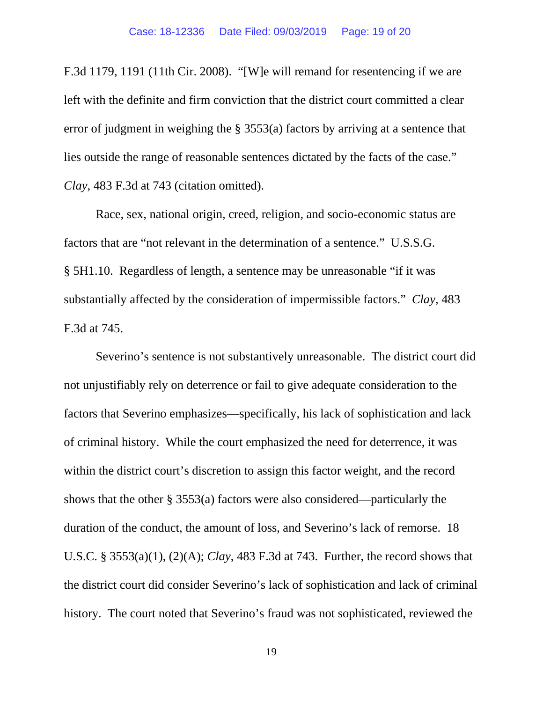F.3d 1179, 1191 (11th Cir. 2008). "[W]e will remand for resentencing if we are left with the definite and firm conviction that the district court committed a clear error of judgment in weighing the § 3553(a) factors by arriving at a sentence that lies outside the range of reasonable sentences dictated by the facts of the case." *Clay*, 483 F.3d at 743 (citation omitted).

Race, sex, national origin, creed, religion, and socio-economic status are factors that are "not relevant in the determination of a sentence." U.S.S.G. § 5H1.10. Regardless of length, a sentence may be unreasonable "if it was substantially affected by the consideration of impermissible factors." *Clay*, 483 F.3d at 745.

Severino's sentence is not substantively unreasonable. The district court did not unjustifiably rely on deterrence or fail to give adequate consideration to the factors that Severino emphasizes—specifically, his lack of sophistication and lack of criminal history. While the court emphasized the need for deterrence, it was within the district court's discretion to assign this factor weight, and the record shows that the other § 3553(a) factors were also considered—particularly the duration of the conduct, the amount of loss, and Severino's lack of remorse. 18 U.S.C. § 3553(a)(1), (2)(A); *Clay*, 483 F.3d at 743. Further, the record shows that the district court did consider Severino's lack of sophistication and lack of criminal history. The court noted that Severino's fraud was not sophisticated, reviewed the